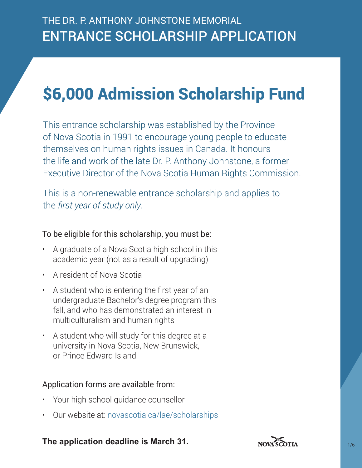# \$6,000 Admission Scholarship Fund

This entrance scholarship was established by the Province of Nova Scotia in 1991 to encourage young people to educate themselves on human rights issues in Canada. It honours the life and work of the late Dr. P. Anthony Johnstone, a former Executive Director of the Nova Scotia Human Rights Commission.

This is a non-renewable entrance scholarship and applies to the *first year of study only*.

### To be eligible for this scholarship, you must be:

- A graduate of a Nova Scotia high school in this academic year (not as a result of upgrading)
- A resident of Nova Scotia
- A student who is entering the first year of an undergraduate Bachelor's degree program this fall, and who has demonstrated an interest in multiculturalism and human rights
- A student who will study for this degree at a university in Nova Scotia, New Brunswick, or Prince Edward Island

### Application forms are available from:

- Your high school guidance counsellor
- Our website at: <novascotia.ca/lae/scholarships>

### **The application deadline is March 31.**

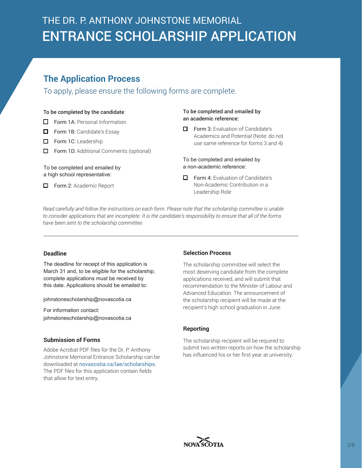## **The Application Process**

To apply, please ensure the following forms are complete.

#### To be completed by the candidate:

- $\Box$  Form 1A: Personal Information
- Form 1B: Candidate's Essay
- **D** Form 1C: Leadership
- $\Box$  Form 1D: Additional Comments (optional)

To be completed and emailed by a high school representative:

Form 2: Academic Report

#### To be completed and emailed by an academic reference:

 $\Box$  Form 3: Evaluation of Candidate's Academics and Potential (Note: do not use same reference for forms 3 and 4)

To be completed and emailed by a non-academic reference:

 $\Box$  Form 4: Evaluation of Candidate's Non-Academic Contribution in a Leadership Role

*Read carefully and follow the instructions on each form. Please note that the scholarship committee is unable to consider applications that are incomplete. It is the candidate's responsibility to ensure that all of the forms have been sent to the scholarship committee.*

#### **Deadline**

The deadline for receipt of this application is March 31 and, to be eligible for the scholarship, complete applications must be received by this date. Applications should be emailed to:

johnstonescholarship@novascotia.ca

For information contact: johnstonescholarship@novascotia.ca

#### **Submission of Forms**

Adobe Acrobat PDF files for the Dr. P. Anthony Johnstone Memorial Entrance Scholarship can be downloaded at [novascotia.ca/lae/scholarships](https://novascotia.ca/lae/scholarships/). The PDF files for this application contain fields that allow for text entry.

#### **Selection Process**

The scholarship committee will select the most deserving candidate from the complete applications received, and will submit that recommendation to the Minister of Labour and Advanced Education. The announcement of the scholarship recipient will be made at the recipient's high school graduation in June.

#### **Reporting**

The scholarship recipient will be required to submit two written reports on how the scholarship has influenced his or her first year at university.

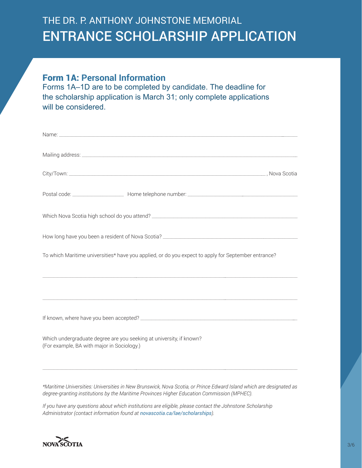### Form 1A: **Personal Information**

Forms 1A–1D are to be completed by candidate. The deadline for the scholarship application is March 31; only complete applications will be considered.

|                                                                                                                   | To which Maritime universities* have you applied, or do you expect to apply for September entrance? |
|-------------------------------------------------------------------------------------------------------------------|-----------------------------------------------------------------------------------------------------|
|                                                                                                                   |                                                                                                     |
|                                                                                                                   |                                                                                                     |
| Which undergraduate degree are you seeking at university, if known?<br>(For example, BA with major in Sociology.) |                                                                                                     |
|                                                                                                                   |                                                                                                     |

*\*Maritime Universities: Universities in New Brunswick, Nova Scotia, or Prince Edward Island which are designated as degree-granting institutions by the Maritime Provinces Higher Education Commission (MPHEC).*

*If you have any questions about which institutions are eligible, please contact the Johnstone Scholarship Administrator (contact information found at novascotia.ca/lae/scholarships).* 

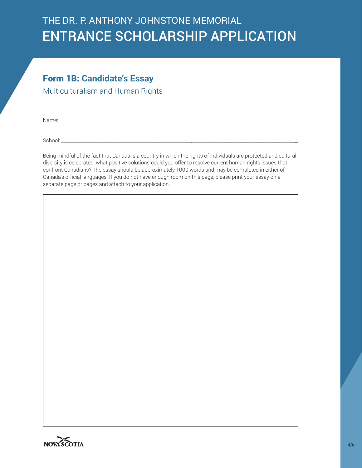### Form 1B: **Candidate's Essay**

Multiculturalism and Human Rights

Name: \_\_\_\_\_\_\_\_\_\_\_\_\_\_\_\_\_\_\_\_\_\_\_\_\_\_\_\_\_\_\_\_\_\_\_\_\_\_\_\_\_\_\_\_\_\_\_\_\_\_\_\_\_\_\_\_\_\_\_\_\_\_\_\_\_\_\_\_\_\_\_\_\_\_\_\_\_\_\_\_\_\_\_\_\_\_\_\_\_\_\_\_\_\_\_\_\_\_\_\_\_\_\_\_\_\_\_\_\_\_\_\_

School: \_\_\_\_\_\_\_\_\_\_\_\_\_\_\_\_\_\_\_\_\_\_\_\_\_\_\_\_\_\_\_\_\_\_\_\_\_\_\_\_\_\_\_\_\_\_\_\_\_\_\_\_\_\_\_\_\_\_\_\_\_\_\_\_\_\_\_\_\_\_\_\_\_\_\_\_\_\_\_\_\_\_\_\_\_\_\_\_\_\_\_\_\_\_\_\_\_\_\_\_\_\_\_\_\_\_\_\_\_\_\_\_

Being mindful of the fact that Canada is a country in which the rights of individuals are protected and cultural diversity is celebrated, what positive solutions could you offer to resolve current human rights issues that confront Canadians? The essay should be approximately 1000 words and may be completed in either of Canada's official languages. If you do not have enough room on this page, please print your essay on a separate page or pages and attach to your application.

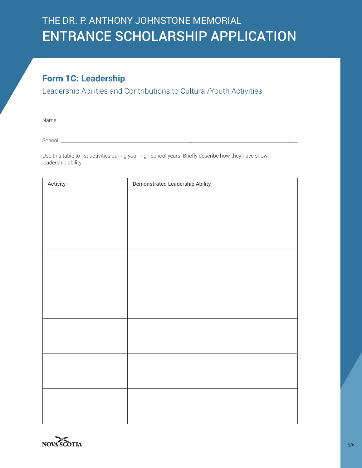## Form 1C: **Leadership**

Leadership Abilities and Contributions to Cultural/Youth Activities

Name: \_\_\_\_\_\_\_\_\_\_\_\_\_\_\_\_\_\_\_\_\_\_\_\_\_\_\_\_\_\_\_\_\_\_\_\_\_\_\_\_\_\_\_\_\_\_\_\_\_\_\_\_\_\_\_\_\_\_\_\_\_\_\_\_\_\_\_\_\_\_\_\_\_\_\_\_\_\_\_\_\_\_\_\_\_\_\_\_\_\_\_\_\_\_\_\_\_\_\_\_\_\_\_\_\_\_\_\_\_\_\_\_

School: \_\_\_\_\_\_\_\_\_\_\_\_\_\_\_\_\_\_\_\_\_\_\_\_\_\_\_\_\_\_\_\_\_\_\_\_\_\_\_\_\_\_\_\_\_\_\_\_\_\_\_\_\_\_\_\_\_\_\_\_\_\_\_\_\_\_\_\_\_\_\_\_\_\_\_\_\_\_\_\_\_\_\_\_\_\_\_\_\_\_\_\_\_\_\_\_\_\_\_\_\_\_\_\_\_\_\_\_\_\_\_\_

Use this table to list activities during your high school years. Briefly describe how they have shown leadership ability.

| Activity | Demonstrated Leadership Ability |
|----------|---------------------------------|
|          |                                 |
|          |                                 |
|          |                                 |
|          |                                 |
|          |                                 |
|          |                                 |
|          |                                 |
|          |                                 |
|          |                                 |
|          |                                 |
|          |                                 |
|          |                                 |
|          |                                 |
|          |                                 |
|          |                                 |
|          |                                 |
|          |                                 |
|          |                                 |
|          |                                 |
|          |                                 |
|          |                                 |